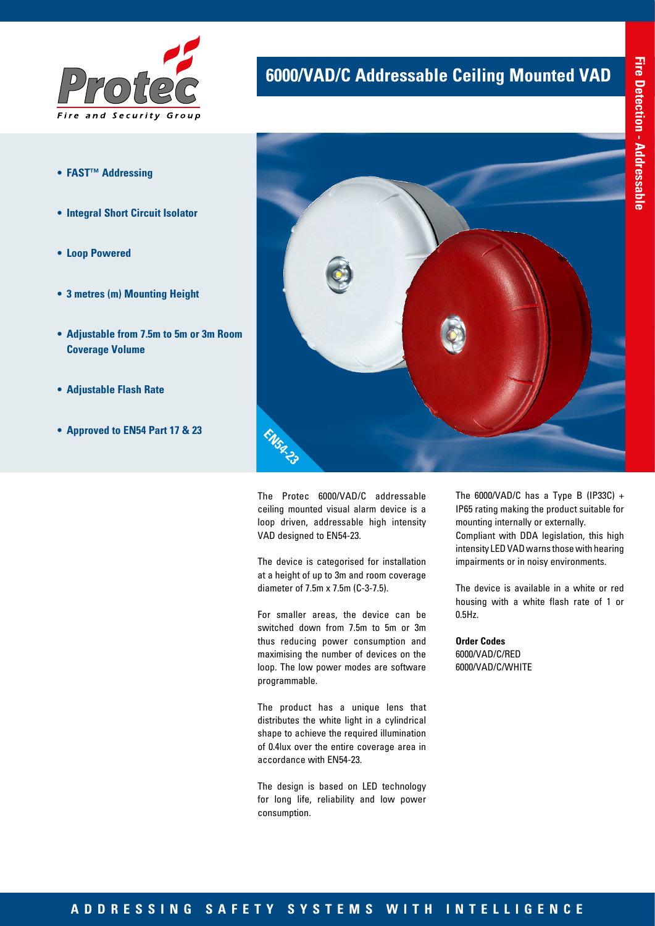

- **• FAST™ Addressing**
- **• Integral Short Circuit Isolator**
- **• Loop Powered**
- **• 3 metres (m) Mounting Height**
- **• Adjustable from 7.5m to 5m or 3m Room Coverage Volume**
- **• Adjustable Flash Rate**
- **• Approved to EN54 Part 17 & 23**

## **6000/VAD/C Addressable Ceiling Mounted VAD**



The Protec 6000/VAD/C addressable ceiling mounted visual alarm device is a loop driven, addressable high intensity VAD designed to EN54-23.

The device is categorised for installation at a height of up to 3m and room coverage diameter of 7.5m x 7.5m (C-3-7.5).

For smaller areas, the device can be switched down from 7.5m to 5m or 3m thus reducing power consumption and maximising the number of devices on the loop. The low power modes are software programmable.

The product has a unique lens that distributes the white light in a cylindrical shape to achieve the required illumination of 0.4lux over the entire coverage area in accordance with EN54-23.

The design is based on LED technology for long life, reliability and low power consumption.

The 6000/VAD/C has a Type B (IP33C) + IP65 rating making the product suitable for mounting internally or externally. Compliant with DDA legislation, this high intensity LED VAD warns those with hearing impairments or in noisy environments.

The device is available in a white or red housing with a white flash rate of 1 or 0.5Hz.

**Order Codes** 6000/VAD/C/RED 6000/VAD/C/WHITE